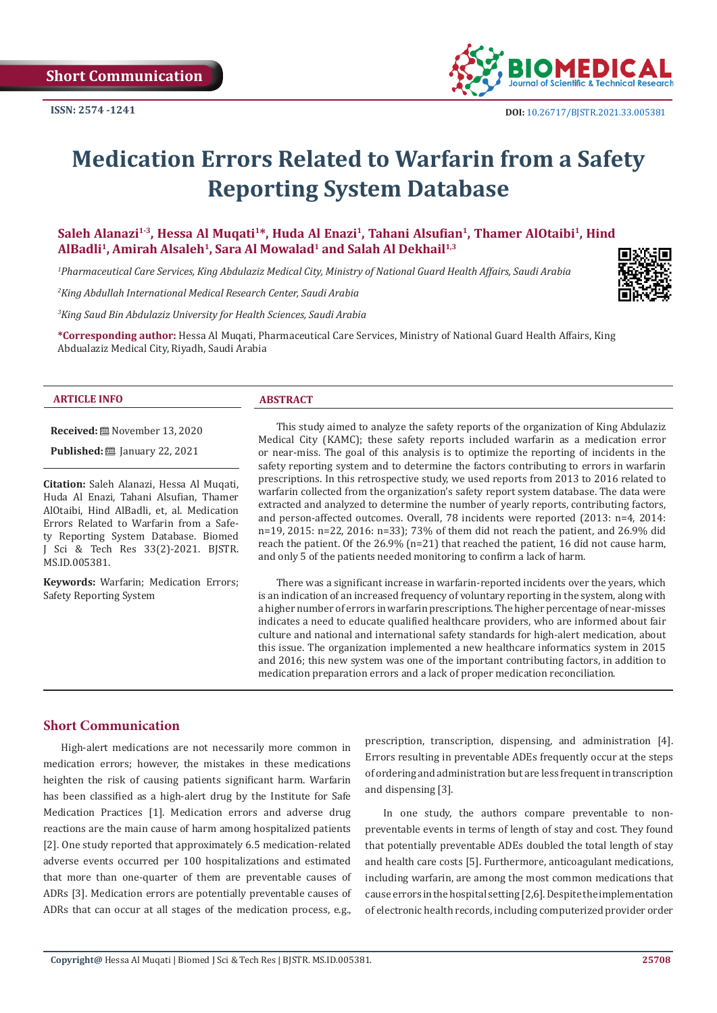

# **Medication Errors Related to Warfarin from a Safety Reporting System Database**

Saleh Alanazi<sup>1-3</sup>, Hessa Al Muqati<sup>1\*</sup>, Huda Al Enazi<sup>1</sup>, Tahani Alsufian<sup>1</sup>, Thamer AlOtaibi<sup>1</sup>, Hind AlBadli<sup>1</sup>, Amirah Alsaleh<sup>1</sup>, Sara Al Mowalad<sup>1</sup> and Salah Al Dekhail<sup>1,3</sup>

*1 Pharmaceutical Care Services, King Abdulaziz Medical City, Ministry of National Guard Health Affairs, Saudi Arabia*

*2 King Abdullah International Medical Research Center, Saudi Arabia*

*3 King Saud Bin Abdulaziz University for Health Sciences, Saudi Arabia*

**\*Corresponding author:** Hessa Al Muqati, Pharmaceutical Care Services, Ministry of National Guard Health Affairs, King Abdualaziz Medical City, Riyadh, Saudi Arabia

#### **ARTICLE INFO ABSTRACT**

**Received:** November 13, 2020

**Published:** ■ January 22, 2021

**Citation:** Saleh Alanazi, Hessa Al Muqati, Huda Al Enazi, Tahani Alsufian, Thamer AlOtaibi, Hind AlBadli, et, al. Medication Errors Related to Warfarin from a Safety Reporting System Database. Biomed J Sci & Tech Res 33(2)-2021. BJSTR. MS.ID.005381.

**Keywords:** Warfarin; Medication Errors; Safety Reporting System

This study aimed to analyze the safety reports of the organization of King Abdulaziz Medical City (KAMC); these safety reports included warfarin as a medication error or near-miss. The goal of this analysis is to optimize the reporting of incidents in the safety reporting system and to determine the factors contributing to errors in warfarin prescriptions. In this retrospective study, we used reports from 2013 to 2016 related to warfarin collected from the organization's safety report system database. The data were extracted and analyzed to determine the number of yearly reports, contributing factors, and person-affected outcomes. Overall, 78 incidents were reported (2013: n=4, 2014: n=19, 2015: n=22, 2016: n=33); 73% of them did not reach the patient, and 26.9% did reach the patient. Of the 26.9% ( $n=21$ ) that reached the patient, 16 did not cause harm, and only 5 of the patients needed monitoring to confirm a lack of harm.

There was a significant increase in warfarin-reported incidents over the years, which is an indication of an increased frequency of voluntary reporting in the system, along with a higher number of errors in warfarin prescriptions. The higher percentage of near-misses indicates a need to educate qualified healthcare providers, who are informed about fair culture and national and international safety standards for high-alert medication, about this issue. The organization implemented a new healthcare informatics system in 2015 and 2016; this new system was one of the important contributing factors, in addition to medication preparation errors and a lack of proper medication reconciliation.

#### **Short Communication**

High-alert medications are not necessarily more common in medication errors; however, the mistakes in these medications heighten the risk of causing patients significant harm. Warfarin has been classified as a high-alert drug by the Institute for Safe Medication Practices [1]. Medication errors and adverse drug reactions are the main cause of harm among hospitalized patients [2]. One study reported that approximately 6.5 medication-related adverse events occurred per 100 hospitalizations and estimated that more than one-quarter of them are preventable causes of ADRs [3]. Medication errors are potentially preventable causes of ADRs that can occur at all stages of the medication process, e.g.,

prescription, transcription, dispensing, and administration [4]. Errors resulting in preventable ADEs frequently occur at the steps of ordering and administration but are less frequent in transcription and dispensing [3].

In one study, the authors compare preventable to nonpreventable events in terms of length of stay and cost. They found that potentially preventable ADEs doubled the total length of stay and health care costs [5]. Furthermore, anticoagulant medications, including warfarin, are among the most common medications that cause errors in the hospital setting [2,6]. Despite the implementation of electronic health records, including computerized provider order

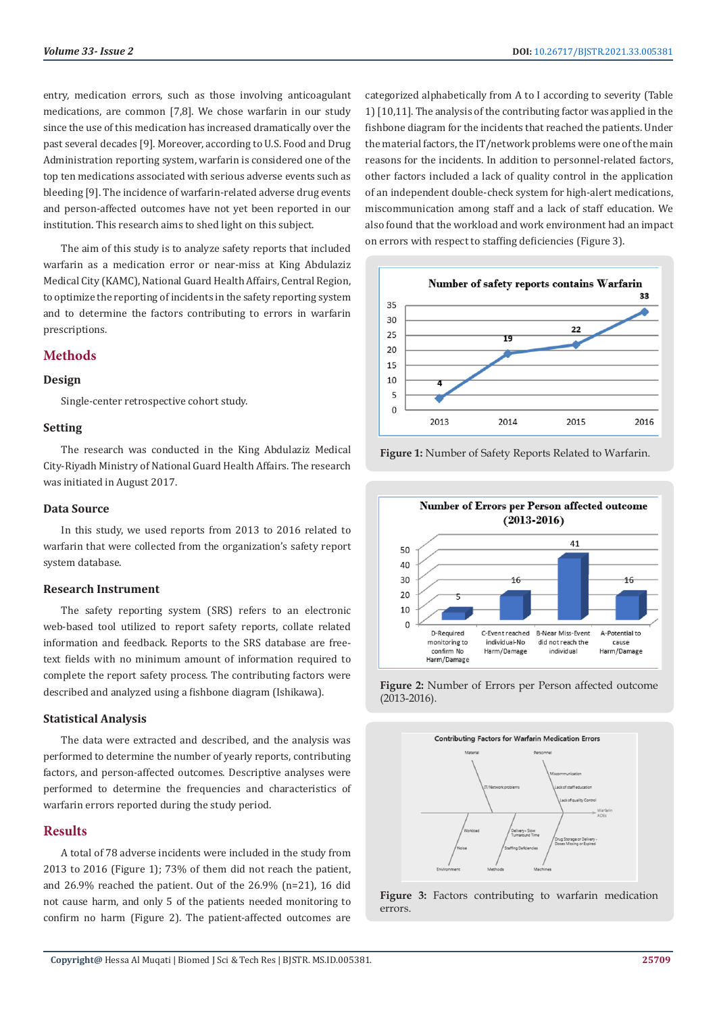entry, medication errors, such as those involving anticoagulant medications, are common [7,8]. We chose warfarin in our study since the use of this medication has increased dramatically over the past several decades [9]. Moreover, according to U.S. Food and Drug Administration reporting system, warfarin is considered one of the top ten medications associated with serious adverse events such as bleeding [9]. The incidence of warfarin-related adverse drug events and person-affected outcomes have not yet been reported in our institution. This research aims to shed light on this subject.

The aim of this study is to analyze safety reports that included warfarin as a medication error or near-miss at King Abdulaziz Medical City (KAMC), National Guard Health Affairs, Central Region, to optimize the reporting of incidents in the safety reporting system and to determine the factors contributing to errors in warfarin prescriptions.

## **Methods**

#### **Design**

Single-center retrospective cohort study.

#### **Setting**

The research was conducted in the King Abdulaziz Medical City-Riyadh Ministry of National Guard Health Affairs. The research was initiated in August 2017.

#### **Data Source**

In this study, we used reports from 2013 to 2016 related to warfarin that were collected from the organization's safety report system database.

#### **Research Instrument**

The safety reporting system (SRS) refers to an electronic web-based tool utilized to report safety reports, collate related information and feedback. Reports to the SRS database are freetext fields with no minimum amount of information required to complete the report safety process. The contributing factors were described and analyzed using a fishbone diagram (Ishikawa).

#### **Statistical Analysis**

The data were extracted and described, and the analysis was performed to determine the number of yearly reports, contributing factors, and person-affected outcomes. Descriptive analyses were performed to determine the frequencies and characteristics of warfarin errors reported during the study period.

### **Results**

A total of 78 adverse incidents were included in the study from 2013 to 2016 (Figure 1); 73% of them did not reach the patient, and 26.9% reached the patient. Out of the 26.9% (n=21), 16 did not cause harm, and only 5 of the patients needed monitoring to confirm no harm (Figure 2). The patient-affected outcomes are categorized alphabetically from A to I according to severity (Table 1) [10,11]. The analysis of the contributing factor was applied in the fishbone diagram for the incidents that reached the patients. Under the material factors, the IT/network problems were one of the main reasons for the incidents. In addition to personnel-related factors, other factors included a lack of quality control in the application of an independent double-check system for high-alert medications, miscommunication among staff and a lack of staff education. We also found that the workload and work environment had an impact on errors with respect to staffing deficiencies (Figure 3).



**Figure 1:** Number of Safety Reports Related to Warfarin.







**Figure 3:** Factors contributing to warfarin medication errors.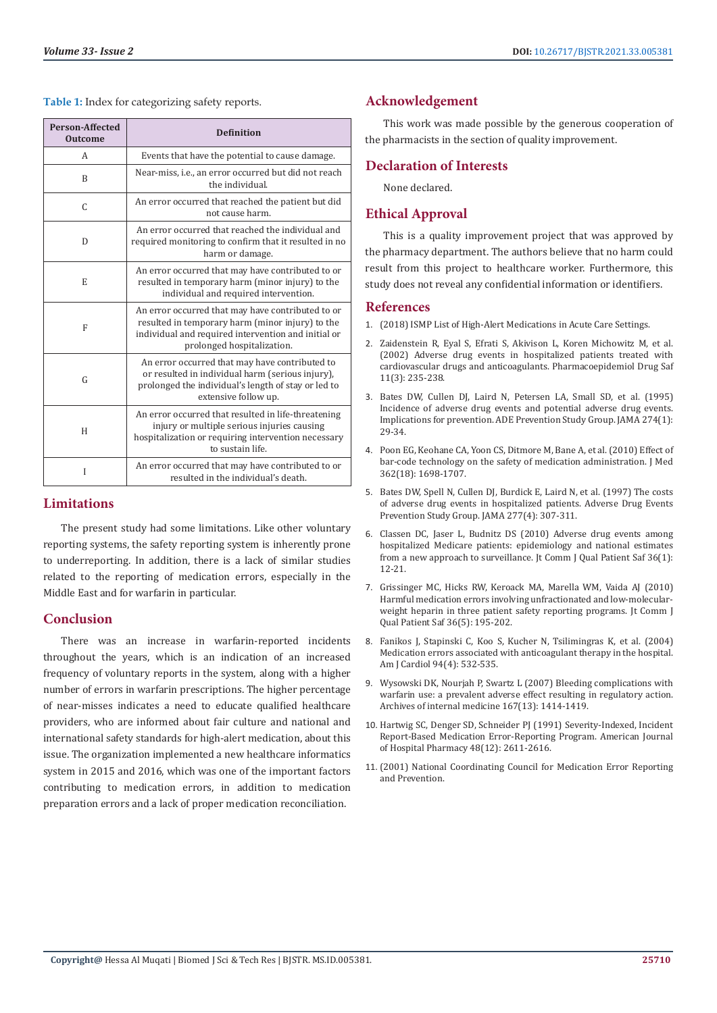**Table 1:** Index for categorizing safety reports.

| <b>Person-Affected</b><br><b>Outcome</b> | <b>Definition</b>                                                                                                                                                                          |
|------------------------------------------|--------------------------------------------------------------------------------------------------------------------------------------------------------------------------------------------|
| A                                        | Events that have the potential to cause damage.                                                                                                                                            |
| B                                        | Near-miss, i.e., an error occurred but did not reach<br>the individual.                                                                                                                    |
| C                                        | An error occurred that reached the patient but did<br>not cause harm.                                                                                                                      |
| D                                        | An error occurred that reached the individual and<br>required monitoring to confirm that it resulted in no<br>harm or damage.                                                              |
| E                                        | An error occurred that may have contributed to or<br>resulted in temporary harm (minor injury) to the<br>individual and required intervention.                                             |
| F                                        | An error occurred that may have contributed to or<br>resulted in temporary harm (minor injury) to the<br>individual and required intervention and initial or<br>prolonged hospitalization. |
| G                                        | An error occurred that may have contributed to<br>or resulted in individual harm (serious injury),<br>prolonged the individual's length of stay or led to<br>extensive follow up.          |
| H                                        | An error occurred that resulted in life-threatening<br>injury or multiple serious injuries causing<br>hospitalization or requiring intervention necessary<br>to sustain life.              |
| I                                        | An error occurred that may have contributed to or<br>resulted in the individual's death.                                                                                                   |

# **Limitations**

The present study had some limitations. Like other voluntary reporting systems, the safety reporting system is inherently prone to underreporting. In addition, there is a lack of similar studies related to the reporting of medication errors, especially in the Middle East and for warfarin in particular.

# **Conclusion**

There was an increase in warfarin-reported incidents throughout the years, which is an indication of an increased frequency of voluntary reports in the system, along with a higher number of errors in warfarin prescriptions. The higher percentage of near-misses indicates a need to educate qualified healthcare providers, who are informed about fair culture and national and international safety standards for high-alert medication, about this issue. The organization implemented a new healthcare informatics system in 2015 and 2016, which was one of the important factors contributing to medication errors, in addition to medication preparation errors and a lack of proper medication reconciliation.

# **Acknowledgement**

This work was made possible by the generous cooperation of the pharmacists in the section of quality improvement.

# **Declaration of Interests**

None declared.

# **Ethical Approval**

This is a quality improvement project that was approved by the pharmacy department. The authors believe that no harm could result from this project to healthcare worker. Furthermore, this study does not reveal any confidential information or identifiers.

#### **References**

- 1. [\(2018\) ISMP List of High-Alert Medications in Acute Care Settings.](https://www.ismp.org/sites/default/files/attachments/2018-10/highAlert2018new-Oct2018-v1.pdf)
- 2. [Zaidenstein R, Eyal S, Efrati S, Akivison L, Koren Michowitz M, et al.](https://pubmed.ncbi.nlm.nih.gov/12051123/) [\(2002\) Adverse drug events in hospitalized patients treated with](https://pubmed.ncbi.nlm.nih.gov/12051123/) [cardiovascular drugs and anticoagulants. Pharmacoepidemiol Drug Saf](https://pubmed.ncbi.nlm.nih.gov/12051123/) [11\(3\): 235-238.](https://pubmed.ncbi.nlm.nih.gov/12051123/)
- 3. [Bates DW, Cullen DJ, Laird N, Petersen LA, Small SD, et al. \(1995\)](https://pubmed.ncbi.nlm.nih.gov/7791255/) [Incidence of adverse drug events and potential adverse drug events.](https://pubmed.ncbi.nlm.nih.gov/7791255/) [Implications for prevention. ADE Prevention Study Group. JAMA 274\(1\):](https://pubmed.ncbi.nlm.nih.gov/7791255/) [29-34.](https://pubmed.ncbi.nlm.nih.gov/7791255/)
- 4. [Poon EG, Keohane CA, Yoon CS, Ditmore M, Bane A, et al. \(2010\) Effect of](https://pubmed.ncbi.nlm.nih.gov/20445181/) [bar-code technology on the safety of medication administration. J Med](https://pubmed.ncbi.nlm.nih.gov/20445181/) [362\(18\): 1698-1707.](https://pubmed.ncbi.nlm.nih.gov/20445181/)
- 5. [Bates DW, Spell N, Cullen DJ, Burdick E, Laird N, et al. \(1997\) The costs](https://pubmed.ncbi.nlm.nih.gov/9002493/) [of adverse drug events in hospitalized patients. Adverse Drug Events](https://pubmed.ncbi.nlm.nih.gov/9002493/) [Prevention Study Group. JAMA 277\(4\): 307-311.](https://pubmed.ncbi.nlm.nih.gov/9002493/)
- 6. [Classen DC, Jaser L, Budnitz DS \(2010\) Adverse drug events among](https://pubmed.ncbi.nlm.nih.gov/20112660/) [hospitalized Medicare patients: epidemiology and national estimates](https://pubmed.ncbi.nlm.nih.gov/20112660/) [from a new approach to surveillance. Jt Comm J Qual Patient Saf 36\(1\):](https://pubmed.ncbi.nlm.nih.gov/20112660/) [12-21.](https://pubmed.ncbi.nlm.nih.gov/20112660/)
- 7. [Grissinger MC, Hicks RW, Keroack MA, Marella WM, Vaida AJ \(2010\)](https://pubmed.ncbi.nlm.nih.gov/20480751/) [Harmful medication errors involving unfractionated and low-molecular](https://pubmed.ncbi.nlm.nih.gov/20480751/)[weight heparin in three patient safety reporting programs. Jt Comm J](https://pubmed.ncbi.nlm.nih.gov/20480751/) [Qual Patient Saf 36\(5\): 195-202.](https://pubmed.ncbi.nlm.nih.gov/20480751/)
- 8. [Fanikos J, Stapinski C, Koo S, Kucher N, Tsilimingras K, et al. \(2004\)](https://pubmed.ncbi.nlm.nih.gov/15325949/) [Medication errors associated with anticoagulant therapy in the hospital.](https://pubmed.ncbi.nlm.nih.gov/15325949/) [Am J Cardiol 94\(4\): 532-535.](https://pubmed.ncbi.nlm.nih.gov/15325949/)
- 9. [Wysowski DK, Nourjah P, Swartz L \(2007\) Bleeding complications with](https://pubmed.ncbi.nlm.nih.gov/17620536/) [warfarin use: a prevalent adverse effect resulting in regulatory action.](https://pubmed.ncbi.nlm.nih.gov/17620536/) [Archives of internal medicine 167\(13\): 1414-1419.](https://pubmed.ncbi.nlm.nih.gov/17620536/)
- 10. [Hartwig SC, Denger SD, Schneider PJ \(1991\) Severity-Indexed, Incident](https://pubmed.ncbi.nlm.nih.gov/1814201/) [Report-Based Medication Error-Reporting Program. American Journal](https://pubmed.ncbi.nlm.nih.gov/1814201/) [of Hospital Pharmacy 48\(12\): 2611-2616.](https://pubmed.ncbi.nlm.nih.gov/1814201/)
- 11. [\(2001\) National Coordinating Council for Medication Error Reporting](https://psnet.ahrq.gov/issue/national-coordinating-council-medication-error-reporting-and-prevention) [and Prevention.](https://psnet.ahrq.gov/issue/national-coordinating-council-medication-error-reporting-and-prevention)